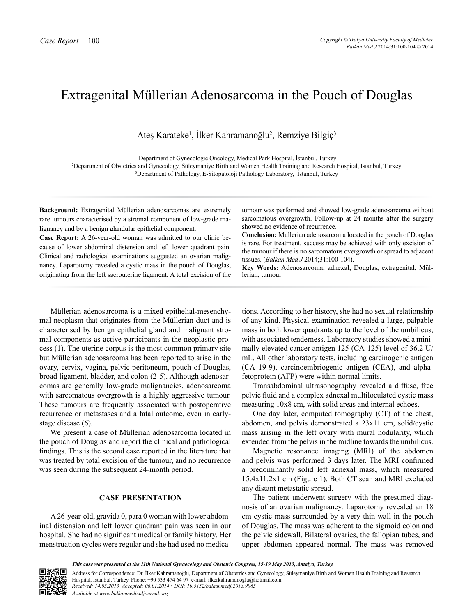## Extragenital Müllerian Adenosarcoma in the Pouch of Douglas

Ateş Karateke<sup>i</sup>, İlker Kahramanoğlu<sup>2</sup>, Remziye Bilgiç<sup>3</sup>

1 Department of Gynecologic Oncology, Medical Park Hospital, İstanbul, Turkey 2 Department of Obstetrics and Gynecology, Süleymaniye Birth and Women Health Training and Research Hospital, İstanbul, Turkey 3 Department of Pathology, E-Sitopatoloji Pathology Laboratory, İstanbul, Turkey

**Background:** Extragenital Müllerian adenosarcomas are extremely rare tumours characterised by a stromal component of low-grade malignancy and by a benign glandular epithelial component.

**Case Report:** A 26-year-old woman was admitted to our clinic because of lower abdominal distension and left lower quadrant pain. Clinical and radiological examinations suggested an ovarian malignancy. Laparotomy revealed a cystic mass in the pouch of Douglas, originating from the left sacrouterine ligament. A total excision of the tumour was performed and showed low-grade adenosarcoma without sarcomatous overgrowth. Follow-up at 24 months after the surgery showed no evidence of recurrence.

**Conclusion:** Mullerian adenosarcoma located in the pouch of Douglas is rare. For treatment, success may be achieved with only excision of the tumour if there is no sarcomatous overgrowth or spread to adjacent tissues. (*Balkan Med J* 2014;31:100-104).

**Key Words:** Adenosarcoma, adnexal, Douglas, extragenital, Müllerian, tumour

Müllerian adenosarcoma is a mixed epithelial-mesenchymal neoplasm that originates from the Müllerian duct and is characterised by benign epithelial gland and malignant stromal components as active participants in the neoplastic process (1). The uterine corpus is the most common primary site but Müllerian adenosarcoma has been reported to arise in the ovary, cervix, vagina, pelvic peritoneum, pouch of Douglas, broad ligament, bladder, and colon (2-5). Although adenosarcomas are generally low-grade malignancies, adenosarcoma with sarcomatous overgrowth is a highly aggressive tumour. These tumours are frequently associated with postoperative recurrence or metastases and a fatal outcome, even in earlystage disease (6).

We present a case of Müllerian adenosarcoma located in the pouch of Douglas and report the clinical and pathological findings. This is the second case reported in the literature that was treated by total excision of the tumour, and no recurrence was seen during the subsequent 24-month period.

## **CASE PRESENTATION**

A26-year-old, gravida 0, para 0 woman with lower abdominal distension and left lower quadrant pain was seen in our hospital. She had no significant medical or family history. Her menstruation cycles were regular and she had used no medications. According to her history, she had no sexual relationship of any kind. Physical examination revealed a large, palpable mass in both lower quadrants up to the level of the umbilicus, with associated tenderness. Laboratory studies showed a minimally elevated cancer antigen 125 (CA-125) level of 36.2 U/ mL. All other laboratory tests, including carcinogenic antigen (CA 19-9), carcinoembriogenic antigen (CEA), and alphafetoprotein (AFP) were within normal limits.

Transabdominal ultrasonography revealed a diffuse, free pelvic fluid and a complex adnexal multiloculated cystic mass measuring 10x8 cm, with solid areas and internal echoes.

One day later, computed tomography (CT) of the chest, abdomen, and pelvis demonstrated a 23x11 cm, solid/cystic mass arising in the left ovary with mural nodularity, which extended from the pelvis in the midline towards the umbilicus.

Magnetic resonance imaging (MRI) of the abdomen and pelvis was performed 3 days later. The MRI confirmed a predominantly solid left adnexal mass, which measured 15.4x11.2x1 cm (Figure 1). Both CT scan and MRI excluded any distant metastatic spread.

The patient underwent surgery with the presumed diagnosis of an ovarian malignancy. Laparotomy revealed an 18 cm cystic mass surrounded by a very thin wall in the pouch of Douglas. The mass was adherent to the sigmoid colon and the pelvic sidewall. Bilateral ovaries, the fallopian tubes, and upper abdomen appeared normal. The mass was removed



Address for Correspondence: Dr. İlker Kahramanoğlu, Department of Obstetrics and Gynecology, Süleymaniye Birth and Women Health Training and Research Hospital, İstanbul, Turkey. Phone: +90 533 474 64 97 e-mail: ilkerkahramanoglu@hotmail.com *Received: 14.05.2013 Accepted: 06.01.2014 • DOI: 10.5152/balkanmedj.2013.9065 Available at www.balkanmedicaljournal.org*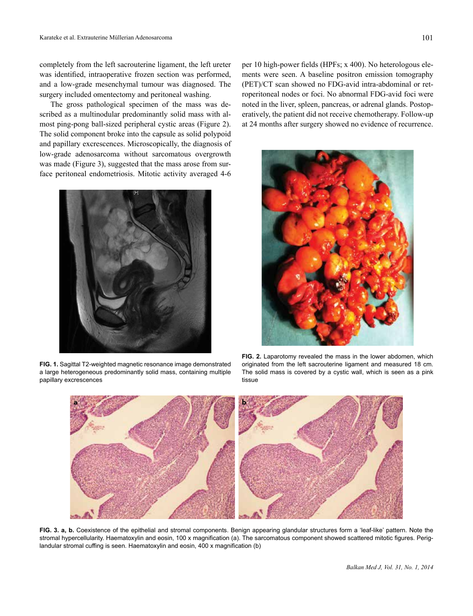completely from the left sacrouterine ligament, the left ureter was identified, intraoperative frozen section was performed, and a low-grade mesenchymal tumour was diagnosed. The surgery included omentectomy and peritoneal washing.

The gross pathological specimen of the mass was described as a multinodular predominantly solid mass with almost ping-pong ball-sized peripheral cystic areas (Figure 2). The solid component broke into the capsule as solid polypoid and papillary excrescences. Microscopically, the diagnosis of low-grade adenosarcoma without sarcomatous overgrowth was made (Figure 3), suggested that the mass arose from surface peritoneal endometriosis. Mitotic activity averaged 4-6



**FIG. 1.** Sagittal T2-weighted magnetic resonance image demonstrated a large heterogeneous predominantly solid mass, containing multiple papillary excrescences

per 10 high-power fields (HPFs; x 400). No heterologous elements were seen. A baseline positron emission tomography (PET)/CT scan showed no FDG-avid intra-abdominal or retroperitoneal nodes or foci. No abnormal FDG-avid foci were noted in the liver, spleen, pancreas, or adrenal glands. Postoperatively, the patient did not receive chemotherapy. Follow-up at 24 months after surgery showed no evidence of recurrence.



**FIG. 2.** Laparotomy revealed the mass in the lower abdomen, which originated from the left sacrouterine ligament and measured 18 cm. The solid mass is covered by a cystic wall, which is seen as a pink tissue



FIG. 3. a, b. Coexistence of the epithelial and stromal components. Benign appearing glandular structures form a 'leaf-like' pattern. Note the stromal hypercellularity. Haematoxylin and eosin, 100 x magnification (a). The sarcomatous component showed scattered mitotic figures. Periglandular stromal cuffing is seen. Haematoxylin and eosin, 400 x magnification (b)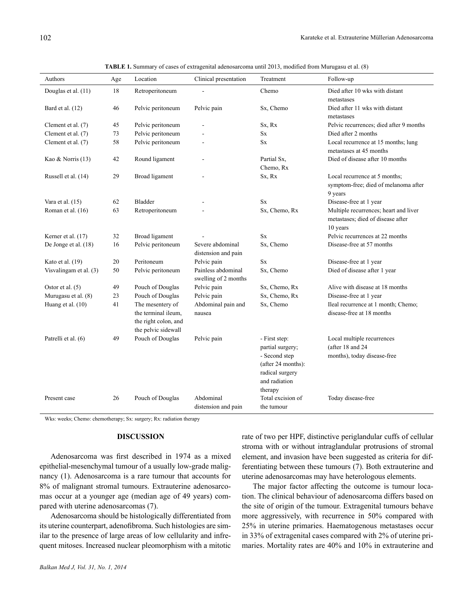| Authors                | Age | Location                                                                               | Clinical presentation                      | Treatment                                                                                                               | Follow-up                                                                              |
|------------------------|-----|----------------------------------------------------------------------------------------|--------------------------------------------|-------------------------------------------------------------------------------------------------------------------------|----------------------------------------------------------------------------------------|
| Douglas et al. (11)    | 18  | Retroperitoneum                                                                        |                                            | Chemo                                                                                                                   | Died after 10 wks with distant<br>metastases                                           |
| Bard et al. (12)       | 46  | Pelvic peritoneum                                                                      | Pelvic pain                                | Sx, Chemo                                                                                                               | Died after 11 wks with distant<br>metastases                                           |
| Clement et al. (7)     | 45  | Pelvic peritoneum                                                                      |                                            | Sx, Rx                                                                                                                  | Pelvic recurrences; died after 9 months                                                |
| Clement et al. (7)     | 73  | Pelvic peritoneum                                                                      |                                            | $\mathbf{S}\mathbf{x}$                                                                                                  | Died after 2 months                                                                    |
| Clement et al. (7)     | 58  | Pelvic peritoneum                                                                      | ÷.                                         | $S_{X}$                                                                                                                 | Local recurrence at 15 months; lung<br>metastases at 45 months                         |
| Kao & Norris (13)      | 42  | Round ligament                                                                         | $\overline{\phantom{a}}$                   | Partial Sx.<br>Chemo, Rx                                                                                                | Died of disease after 10 months                                                        |
| Russell et al. (14)    | 29  | Broad ligament                                                                         |                                            | Sx, Rx                                                                                                                  | Local recurrence at 5 months;<br>symptom-free; died of melanoma after<br>9 years       |
| Vara et al. (15)       | 62  | Bladder                                                                                | $\overline{a}$                             | <b>Sx</b>                                                                                                               | Disease-free at 1 year                                                                 |
| Roman et al. (16)      | 63  | Retroperitoneum                                                                        |                                            | Sx, Chemo, Rx                                                                                                           | Multiple recurrences; heart and liver<br>metastases; died of disease after<br>10 years |
| Kerner et al. (17)     | 32  | Broad ligament                                                                         |                                            | <b>Sx</b>                                                                                                               | Pelvic recurrences at 22 months                                                        |
| De Jonge et al. (18)   | 16  | Pelvic peritoneum                                                                      | Severe abdominal<br>distension and pain    | Sx, Chemo                                                                                                               | Disease-free at 57 months                                                              |
| Kato et al. (19)       | 20  | Peritoneum                                                                             | Pelvic pain                                | <b>Sx</b>                                                                                                               | Disease-free at 1 year                                                                 |
| Visvalingam et al. (3) | 50  | Pelvic peritoneum                                                                      | Painless abdominal<br>swelling of 2 months | Sx, Chemo                                                                                                               | Died of disease after 1 year                                                           |
| Ostor et al. $(5)$     | 49  | Pouch of Douglas                                                                       | Pelvic pain                                | Sx, Chemo, Rx                                                                                                           | Alive with disease at 18 months                                                        |
| Murugasu et al. (8)    | 23  | Pouch of Douglas                                                                       | Pelvic pain                                | Sx, Chemo, Rx                                                                                                           | Disease-free at 1 year                                                                 |
| Huang et al. (10)      | 41  | The mesentery of<br>the terminal ileum.<br>the right colon, and<br>the pelvic sidewall | Abdominal pain and<br>nausea               | Sx, Chemo                                                                                                               | Ileal recurrence at 1 month; Chemo;<br>disease-free at 18 months                       |
| Patrelli et al. (6)    | 49  | Pouch of Douglas                                                                       | Pelvic pain                                | - First step:<br>partial surgery;<br>- Second step<br>(after 24 months):<br>radical surgery<br>and radiation<br>therapy | Local multiple recurrences<br>(after 18 and 24)<br>months), today disease-free         |
| Present case           | 26  | Pouch of Douglas                                                                       | Abdominal<br>distension and pain           | Total excision of<br>the tumour                                                                                         | Today disease-free                                                                     |

**TABLE 1.** Summary of cases of extragenital adenosarcoma until 2013, modified from Murugasu et al. (8)

Wks: weeks; Chemo: chemotherapy; Sx: surgery; Rx: radiation therapy

## **DISCUSSION**

Adenosarcoma was first described in 1974 as a mixed epithelial-mesenchymal tumour of a usually low-grade malignancy (1). Adenosarcoma is a rare tumour that accounts for 8% of malignant stromal tumours. Extrauterine adenosarcomas occur at a younger age (median age of 49 years) compared with uterine adenosarcomas (7).

Adenosarcoma should be histologically differentiated from its uterine counterpart, adenofibroma. Such histologies are similar to the presence of large areas of low cellularity and infrequent mitoses. Increased nuclear pleomorphism with a mitotic rate of two per HPF, distinctive periglandular cuffs of cellular stroma with or without intraglandular protrusions of stromal element, and invasion have been suggested as criteria for differentiating between these tumours (7). Both extrauterine and uterine adenosarcomas may have heterologous elements.

The major factor affecting the outcome is tumour location. The clinical behaviour of adenosarcoma differs based on the site of origin of the tumour. Extragenital tumours behave more aggressively, with recurrence in 50% compared with 25% in uterine primaries. Haematogenous metastases occur in 33% of extragenital cases compared with 2% of uterine primaries. Mortality rates are 40% and 10% in extrauterine and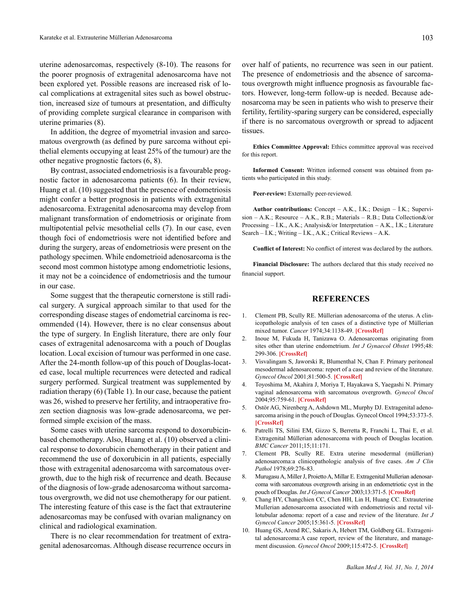uterine adenosarcomas, respectively (8-10). The reasons for the poorer prognosis of extragenital adenosarcoma have not been explored yet. Possible reasons are increased risk of local complications at extragenital sites such as bowel obstruction, increased size of tumours at presentation, and difficulty of providing complete surgical clearance in comparison with uterine primaries (8).

In addition, the degree of myometrial invasion and sarcomatous overgrowth (as defined by pure sarcoma without epithelial elements occupying at least 25% of the tumour) are the other negative prognostic factors (6, 8).

By contrast, associated endometriosis is a favourable prognostic factor in adenosarcoma patients (6). In their review, Huang et al. (10) suggested that the presence of endometriosis might confer a better prognosis in patients with extragenital adenosarcoma. Extragenital adenosarcoma may develop from malignant transformation of endometriosis or originate from multipotential pelvic mesothelial cells (7). In our case, even though foci of endometriosis were not identified before and during the surgery, areas of endometriosis were present on the pathology specimen. While endometrioid adenosarcoma is the second most common histotype among endometriotic lesions, it may not be a coincidence of endometriosis and the tumour in our case.

Some suggest that the therapeutic cornerstone is still radical surgery. A surgical approach similar to that used for the corresponding disease stages of endometrial carcinoma is recommended (14). However, there is no clear consensus about the type of surgery. In English literature, there are only four cases of extragenital adenosarcoma with a pouch of Douglas location. Local excision of tumour was performed in one case. After the 24-month follow-up of this pouch of Douglas-located case, local multiple recurrences were detected and radical surgery performed. Surgical treatment was supplemented by radiation therapy (6) (Table 1). In our case, because the patient was 26, wished to preserve her fertility, and intraoperative frozen section diagnosis was low-grade adenosarcoma, we performed simple excision of the mass.

Some cases with uterine sarcoma respond to doxorubicinbased chemotherapy. Also, Huang et al. (10) observed a clinical response to doxorubicin chemotherapy in their patient and recommend the use of doxorubicin in all patients, especially those with extragenital adenosarcoma with sarcomatous overgrowth, due to the high risk of recurrence and death. Because of the diagnosis of low-grade adenosarcoma without sarcomatous overgrowth, we did not use chemotherapy for our patient. The interesting feature of this case is the fact that extrauterine adenosarcomas may be confused with ovarian malignancy on clinical and radiological examination.

There is no clear recommendation for treatment of extragenital adenosarcomas. Although disease recurrence occurs in

over half of patients, no recurrence was seen in our patient. The presence of endometriosis and the absence of sarcomatous overgrowth might influence prognosis as favourable factors. However, long-term follow-up is needed. Because adenosarcoma may be seen in patients who wish to preserve their fertility, fertility-sparing surgery can be considered, especially if there is no sarcomatous overgrowth or spread to adjacent tissues.

**Ethics Committee Approval:** Ethics committee approval was received for this report.

**Informed Consent:** Written informed consent was obtained from patients who participated in this study.

**Peer-review:** Externally peer-reviewed.

**Author contributions:** Concept – A.K., İ.K.; Design – İ.K.; Supervision – A.K.; Resource – A.K., R.B.; Materials – R.B.; Data Collection&/or Processing – İ.K., A.K.; Analysis&/or Interpretation – A.K., İ.K.; Literature Search – İ.K.; Writing – İ.K., A.K.; Critical Reviews – A.K.

**Conflict of Interest:** No conflict of interest was declared by the authors.

**Financial Disclosure:** The authors declared that this study received no financial support.

## **REFERENCES**

- 1. Clement PB, Scully RE. Müllerian adenosarcoma of the uterus. A clinicopathologic analysis of ten cases of a distinctive type of Müllerian mixed tumor. *Cancer* [1974;34:1138-49.](http://dx.doi.org/10.1002/1097-0142%28197410%2934:4%3C1138::AID-CNCR2820340425%3E3.0.CO%3B2-9) **[CrossRef]**
- 2. Inoue M, Fukuda H, Tanizawa O. Adenosarcomas originating from sites other than uterine endometrium. *Int J Gynaecol Obstet* 1995;48: 299-306. **[\[CrossRef\]](http://dx.doi.org/10.1016/0020-7292%2894%2902267-3)**
- 3. Visvalingam S, Jaworski R, Blumenthal N, Chan F. Primary peritoneal mesodermal adenosarcoma: report of a case and review of the literature. *Gynecol Oncol* [2001;81:500-5.](http://dx.doi.org/10.1006/gyno.2001.6165) **[CrossRef]**
- 4. Toyoshima M, Akahira J, Moriya T, Hayakawa S, Yaegashi N. Primary vaginal adenosarcoma with sarcomatous overgrowth. *Gynecol Oncol* [2004;95:759-61.](http://dx.doi.org/10.1016/j.ygyno.2004.08.004) **[CrossRef]**
- 5. Ostör AG, Nirenberg A, Ashdown ML, Murphy DJ. Extragenital adenosarcoma arising in the pouch of Douglas. Gynecol Oncol 1994;53:373-5. **[\[CrossRef\]](http://dx.doi.org/10.1006/gyno.1994.1151)**
- 6. Patrelli TS, Silini EM, Gizzo S, Berretta R, Franchi L, Thai E, et al. Extragenital Müllerian adenosarcoma with pouch of Douglas location. *BMC Cancer* 2011;15;11:171.
- 7. Clement PB, Scully RE. Extra uterine mesodermal (müllerian) adenosarcoma:a clinicopathologic analysis of five cases. *Am J Clin Pathol* 1978;69:276-83.
- 8. Murugasu A, Miller J, Proietto A, Millar E. Extragenital Mullerian adenosarcoma with sarcomatous overgrowth arising in an endometriotic cyst in the pouch of Douglas. *Int J Gynecol Cancer* [2003;13:371-5.](http://dx.doi.org/10.1046/j.1525-1438.2003.13187.x) **[CrossRef]**
- 9. Chang HY, Changchien CC, Chen HH, Lin H, Huang CC. Extrauterine Mullerian adenosarcoma associated with endometriosis and rectal villotubular adenoma: report of a case and review of the literature. *Int J Gynecol Cancer* [2005;15:361-5.](http://dx.doi.org/10.1111/j.1525-1438.2005.15230.x) **[CrossRef]**
- 10. Huang GS, Arend RC, Sakaris A, Hebert TM, Goldberg GL. Extragenital adenosarcoma:A case report, review of the literature, and management discussion. *Gynecol Oncol* [2009;115:472-5.](http://dx.doi.org/10.1016/j.ygyno.2009.07.033) **[CrossRef]**